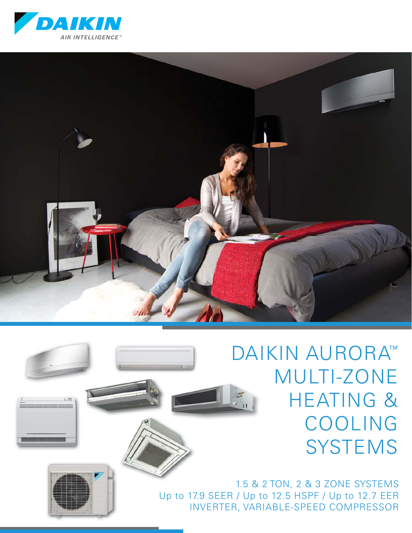



DAIKIN AURORA™ MULTI-ZONE HEATING & COOLING **SYSTEMS** 



1.5 & 2 TON, 2 & 3 ZONE SYSTEMS Up to 17.9 SEER / Up to 12.5 HSPF / Up to 12.7 EER INVERTER, VARIABLE-SPEED COMPRESSOR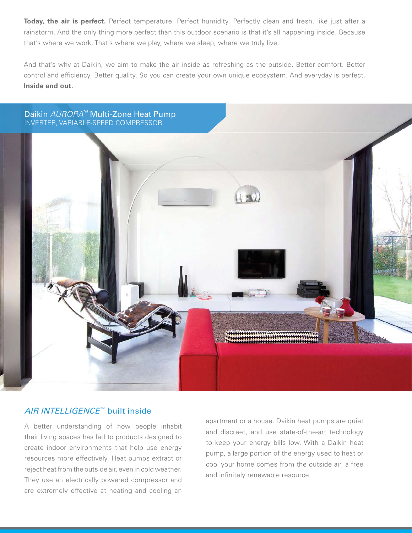**Today, the air is perfect.** Perfect temperature. Perfect humidity. Perfectly clean and fresh, like just after a rainstorm. And the only thing more perfect than this outdoor scenario is that it's all happening inside. Because that's where we work. That's where we play, where we sleep, where we truly live.

And that's why at Daikin, we aim to make the air inside as refreshing as the outside. Better comfort. Better control and efficiency. Better quality. So you can create your own unique ecosystem. And everyday is perfect. **Inside and out.**



#### AIR INTELLIGENCE™ built inside

A better understanding of how people inhabit their living spaces has led to products designed to create indoor environments that help use energy resources more effectively. Heat pumps extract or reject heat from the outside air, even in cold weather. They use an electrically powered compressor and are extremely effective at heating and cooling an

apartment or a house. Daikin heat pumps are quiet and discreet, and use state-of-the-art technology to keep your energy bills low. With a Daikin heat pump, a large portion of the energy used to heat or cool your home comes from the outside air, a free and infinitely renewable resource.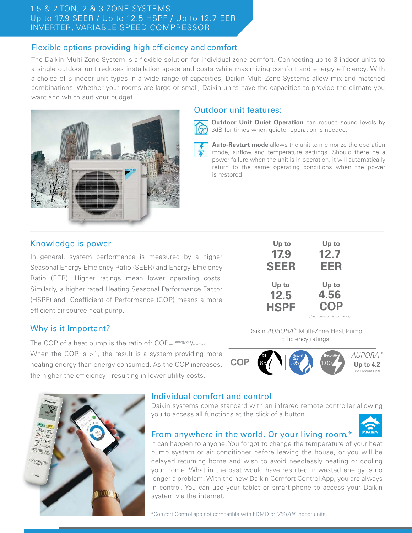### 1.5 & 2 TON, 2 & 3 ZONE SYSTEMS Up to 17.9 SEER / Up to 12.5 HSPF / Up to 12.7 EER INVERTER, VARIABLE-SPEED COMPRESSOR

# Flexible options providing high efficiency and comfort

The Daikin Multi-Zone System is a flexible solution for individual zone comfort. Connecting up to 3 indoor units to a single outdoor unit reduces installation space and costs while maximizing comfort and energy efficiency. With a choice of 5 indoor unit types in a wide range of capacities, Daikin Multi-Zone Systems allow mix and matched combinations. Whether your rooms are large or small, Daikin units have the capacities to provide the climate you want and which suit your budget.





**Outdoor Unit Quiet Operation** can reduce sound levels by 3dB for times when quieter operation is needed.

**Auto-Restart mode** allows the unit to memorize the operation mode, airflow and temperature settings. Should there be a power failure when the unit is in operation, it will automatically return to the same operating conditions when the power is restored.

### Knowledge is power

In general, system performance is measured by a higher Seasonal Energy Efficiency Ratio (SEER) and Energy Efficiency Ratio (EER). Higher ratings mean lower operating costs. Similarly, a higher rated Heating Seasonal Performance Factor (HSPF) and Coefficient of Performance (COP) means a more efficient air-source heat pump.

| Up to                        | Up to                                                |
|------------------------------|------------------------------------------------------|
| 17.9                         | 12.7                                                 |
| SEER                         | EER                                                  |
| Up to<br>12.5<br><b>HSPF</b> | Up to<br>4.56<br>COP<br>(Coefficient of Performance) |

# Why is it Important?

The COP of a heat pump is the ratio of:  $COP = \frac{energy out}{energy in}$ When the COP is >1, the result is a system providing more heating energy than energy consumed. As the COP increases, the higher the efficiency - resulting in lower utility costs.

Daikin AURORA™ Multi-Zone Heat Pump Efficiency ratings





# Individual comfort and control

Daikin systems come standard with an infrared remote controller allowing you to access all functions at the click of a button.

# From anywhere in the world. Or your living room.\*

It can happen to anyone. You forgot to change the temperature of your heat pump system or air conditioner before leaving the house, or you will be delayed returning home and wish to avoid needlessly heating or cooling your home. What in the past would have resulted in wasted energy is no longer a problem. With the new Daikin Comfort Control App, you are always in control. You can use your tablet or smart-phone to access your Daikin system via the internet.

\*Comfort Control app not compatible with FDMQ or VISTA™ indoor units.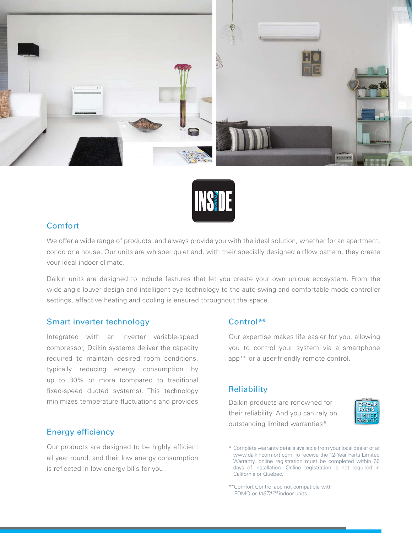



#### Comfort

We offer a wide range of products, and always provide you with the ideal solution, whether for an apartment, condo or a house. Our units are whisper quiet and, with their specially designed airflow pattern, they create your ideal indoor climate.

Daikin units are designed to include features that let you create your own unique ecosystem. From the wide angle louver design and intelligent eye technology to the auto-swing and comfortable mode controller settings, effective heating and cooling is ensured throughout the space.

#### Smart inverter technology

Integrated with an inverter variable-speed compressor, Daikin systems deliver the capacity required to maintain desired room conditions, typically reducing energy consumption by up to 30% or more (compared to traditional fixed-speed ducted systems). This technology minimizes temperature fluctuations and provides

#### Energy efficiency

Our products are designed to be highly efficient all year round, and their low energy consumption is reflected in low energy bills for you.

#### Control\*\*

Our expertise makes life easier for you, allowing you to control your system via a smartphone app\*\* or a user-friendly remote control.

#### **Reliability**

Daikin products are renowned for their reliability. And you can rely on outstanding limited warranties\*



<sup>\*</sup> Complete warranty details available from your local dealer or at www.daikincomfort.com. To receive the 12-Year Parts Limited Warranty, online registration must be completed within 60 days of installation. Online registration is not required in California or Quebec.

\*\*Comfort Control app not compatible with FDMQ or VISTA™ indoor units.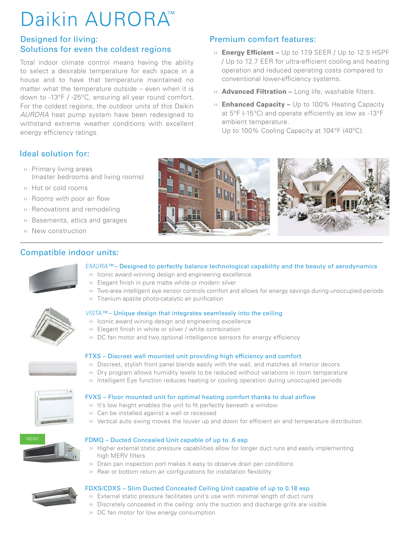# Daikin AURORA™

# Designed for living: Solutions for even the coldest regions

Total indoor climate control means having the ability to select a desirable temperature for each space in a house and to have that temperature maintained no matter what the temperature outside – even when it is down to -13°F / -25°C, ensuring all year round comfort. For the coldest regions, the outdoor units of this Daikin AURORA heat pump system have been redesigned to withstand extreme weather conditions with excellent energy efficiency ratings.

# Premium comfort features:

- » **Energy Efficient –** Up to 17.9 SEER / Up to 12.5 HSPF / Up to 12.7 EER for ultra-efficient cooling and heating operation and reduced operating costs compared to conventional lower-efficiency systems.
- » **Advanced Filtration –** Long life, washable filters.
- ›› **Enhanced Capacity –** Up to 100% Heating Capacity at  $5^{\circ}$ F (-15 $^{\circ}$ C) and operate efficiently as low as -13 $^{\circ}$ F ambient temperature.

Up to 100% Cooling Capacity at 104°F (40°C).

# Ideal solution for:

- ›› Primary living areas (master bedrooms and living rooms)
- ›› Hot or cold rooms
- $\cdots$  Rooms with poor air flow
- ›› Renovations and remodeling
- ›› Basements, attics and garages
- ›› New construction



# Compatible indoor units:



#### EMURA™ – Designed to perfectly balance technological capability and the beauty of aerodynamics

- ›› Iconic award winning design and engineering excellence
- $\cdots$  Elegant finish in pure matte white or modern silver
- ›› Two-area intelligent eye sensor controls comfort and allows for energy savings during unoccupied periods
- <sup>3</sup> Titanium apatite photo-catalytic air purification

#### VISTA™- Unique design that integrates seamlessly into the ceiling ›› Iconic award wining design and engineering excellence

- $\cdots$  Elegant finish in white or silver / white combination
- $\cdots$  DC fan motor and two optional intelligence sensors for energy efficiency



#### FTXS – Discreet wall mounted unit providing high efficiency and comfort

- $\cdots$  Discreet, stylish front panel blends easily with the wall, and matches all interior decors
- ›› Dry program allows humidity levels to be reduced without variations in room temperature
- ›› Intelligent Eye function reduces heating or cooling operation during unoccupied periods



#### FVXS – Floor mounted unit for optimal heating comfort thanks to dual airflow

- $\cdots$  It's low height enables the unit to fit perfectly beneath a window
- ›› Can be installed against a wall or recessed
- <sup>3</sup> Vertical auto swing moves the louver up and down for efficient air and temperature distribution



#### FDMQ – Ducted Concealed Unit capable of up to .6 esp

- ›› Higher external static pressure capabilities allow for longer duct runs and easily implementing high MERV filters
- ›› Drain pan inspection port makes it easy to observe drain pan conditions
- $\cdots$  Rear or bottom return air configurations for installation flexibility

- FDXS/CDXS Slim Ducted Concealed Ceiling Unit capable of up to 0.18 esp
	- ›› External static pressure facilitates unit's use with minimal length of duct runs  $\cdots$  Discretely concealed in the ceiling: only the suction and discharge grills are visible
	- ›› DC fan motor for low energy consumption